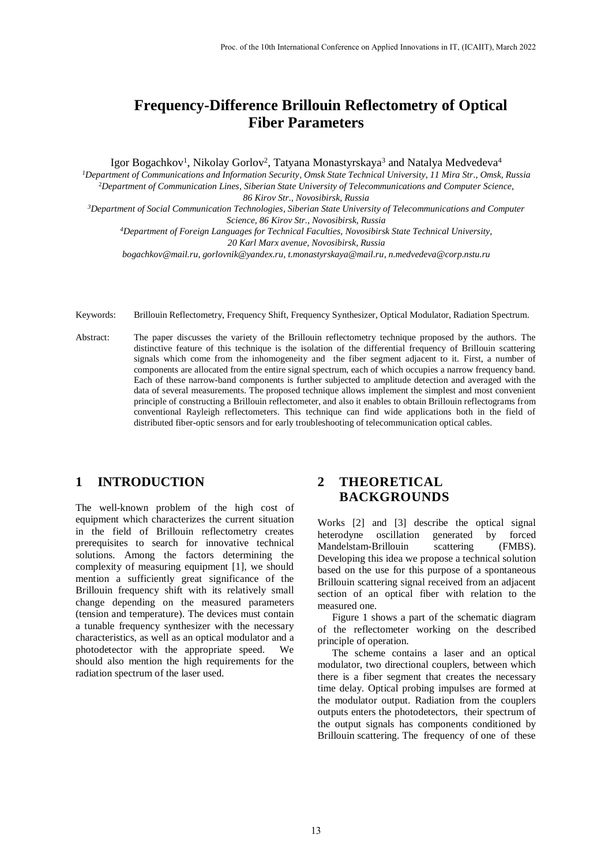# **Frequency-Difference Brillouin Reflectometry of Optical Fiber Parameters**

Igor Bogachkov<sup>1</sup>, Nikolay Gorlov<sup>2</sup>, Tatyana Monastyrskaya<sup>3</sup> and Natalya Medvedeva<sup>4</sup>

*<sup>1</sup>Department of Communications and Information Security, Omsk State Technical University, 11 Mira Str., Omsk, Russia* <sup>2</sup>*Department of Communication Lines, Siberian State University of Telecommunications and Computer Science, 86 Kirov Str., Novosibirsk, Russia*

*<sup>3</sup>Department of Social Communication Technologies, Siberian State University of Telecommunications and Computer Science, 86 Kirov Str., Novosibirsk, Russia*

*<sup>4</sup>Department of Foreign Languages for Technical Faculties, Novosibirsk State Technical University, 20 Karl Marx avenue, Novosibirsk, Russia*

*[bogachkov@mail.ru,](mailto:bogachkov@mail.ru) [gorlovnik@yandex.ru,](mailto:gorlovnik@yandex.ru3) [t.monastyrskaya@mail.ru,](mailto:t.monastyrskaya@mail.ru) n.medvedeva@corp.nstu.ru*

- Keywords: Brillouin Reflectometry, Frequency Shift, Frequency Synthesizer, Optical Modulator, Radiation Spectrum.
- Abstract: The paper discusses the variety of the Brillouin reflectometry technique proposed by the authors. The distinctive feature of this technique is the isolation of the differential frequency of Brillouin scattering signals which come from the inhomogeneity and the fiber segment adjacent to it. First, a number of components are allocated from the entire signal spectrum, each of which occupies a narrow frequency band. Each of these narrow-band components is further subjected to amplitude detection and averaged with the data of several measurements. The proposed technique allows implement the simplest and most convenient principle of constructing a Brillouin reflectometer, and also it enables to obtain Brillouin reflectograms from conventional Rayleigh reflectometers. This technique can find wide applications both in the field of distributed fiber-optic sensors and for early troubleshooting of telecommunication optical cables.

## **1 INTRODUCTION**

The well-known problem of the high cost of equipment which characterizes the current situation in the field of Brillouin reflectometry creates prerequisites to search for innovative technical solutions. Among the factors determining the complexity of measuring equipment [1], we should mention a sufficiently great significance of the Brillouin frequency shift with its relatively small change depending on the measured parameters (tension and temperature). The devices must contain a tunable frequency synthesizer with the necessary characteristics, as well as an optical modulator and a photodetector with the appropriate speed. We should also mention the high requirements for the radiation spectrum of the laser used.

# **2 THEORETICAL BACKGROUNDS**

Works [2] and [3] describe the optical signal heterodyne oscillation generated by forced Mandelstam-Brillouin scattering (FMBS). Developing this idea we propose a technical solution based on the use for this purpose of a spontaneous Brillouin scattering signal received from an adjacent section of an optical fiber with relation to the measured one.

Figure 1 shows a part of the schematic diagram of the reflectometer working on the described principle of operation.

The scheme contains a laser and an optical modulator, two directional couplers, between which there is a fiber segment that creates the necessary time delay. Optical probing impulses are formed at the modulator output. Radiation from the couplers outputs enters the photodetectors, their spectrum of the output signals has components conditioned by Brillouin scattering. The frequency of one of these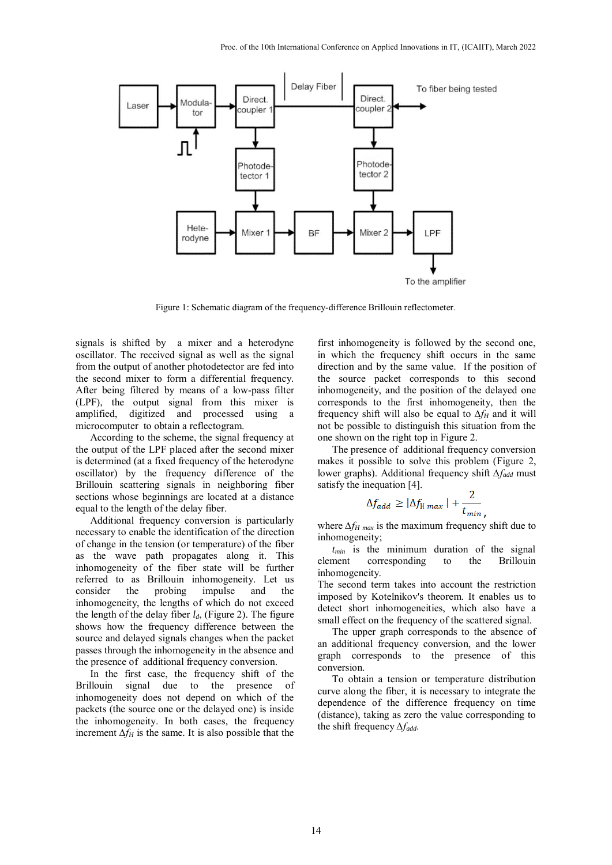

Figure 1: Schematic diagram of the frequency-difference Brillouin reflectometer.

signals is shifted by a mixer and a heterodyne oscillator. The received signal as well as the signal from the output of another photodetector are fed into the second mixer to form a differential frequency. After being filtered by means of a low-pass filter (LPF), the output signal from this mixer is amplified, digitized and processed using a microcomputer to obtain a reflectogram.

According to the scheme, the signal frequency at the output of the LPF placed after the second mixer is determined (at a fixed frequency of the heterodyne oscillator) by the frequency difference of the Brillouin scattering signals in neighboring fiber sections whose beginnings are located at a distance equal to the length of the delay fiber.

Additional frequency conversion is particularly necessary to enable the identification of the direction of change in the tension (or temperature) of the fiber as the wave path propagates along it. This inhomogeneity of the fiber state will be further referred to as Brillouin inhomogeneity. Let us consider the probing impulse and the inhomogeneity, the lengths of which do not exceed the length of the delay fiber *ld*, (Figure 2). The figure shows how the frequency difference between the source and delayed signals changes when the packet passes through the inhomogeneity in the absence and the presence of additional frequency conversion.

In the first case, the frequency shift of the Brillouin signal due to the presence of inhomogeneity does not depend on which of the packets (the source one or the delayed one) is inside the inhomogeneity. In both cases, the frequency increment *∆fH* is the same. It is also possible that the

first inhomogeneity is followed by the second one, in which the frequency shift occurs in the same direction and by the same value. If the position of the source packet corresponds to this second inhomogeneity, and the position of the delayed one corresponds to the first inhomogeneity, then the frequency shift will also be equal to *∆fH* and it will not be possible to distinguish this situation from the one shown on the right top in Figure 2.

The presence of additional frequency conversion makes it possible to solve this problem (Figure 2, lower graphs). Additional frequency shift *∆fadd* must satisfy the inequation [4].

$$
\Delta f_{add} \geq |\Delta f_{\text{H}}_{max}| + \frac{2}{t_{min}}.
$$

where *∆f<sup>H</sup> max* is the maximum frequency shift due to inhomogeneity;

*tmin* is the minimum duration of the signal element corresponding to the Brillouin inhomogeneity.

The second term takes into account the restriction imposed by Kotelnikov's theorem. It enables us to detect short inhomogeneities, which also have a small effect on the frequency of the scattered signal.

The upper graph corresponds to the absence of an additional frequency conversion, and the lower graph corresponds to the presence of this conversion.

To obtain a tension or temperature distribution curve along the fiber, it is necessary to integrate the dependence of the difference frequency on time (distance), taking as zero the value corresponding to the shift frequency *∆fadd*.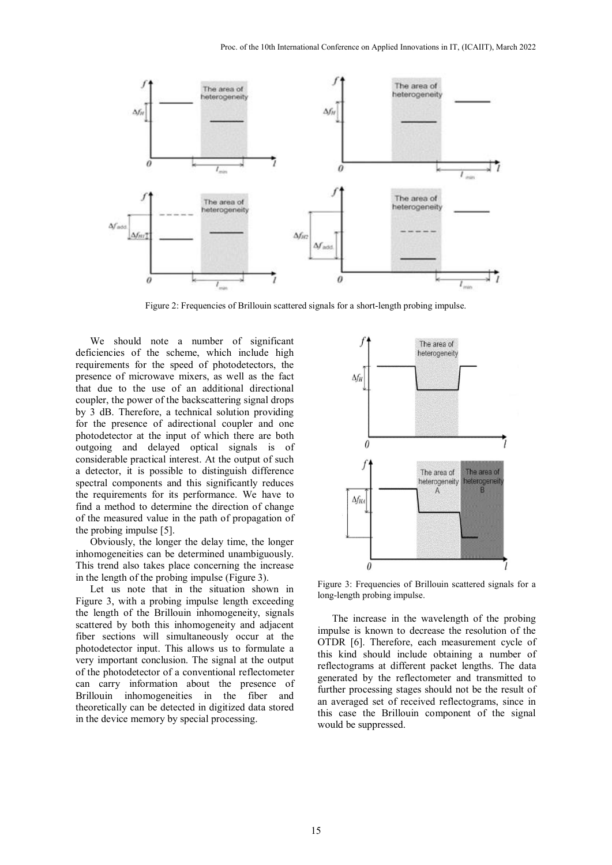

Figure 2: Frequencies of Brillouin scattered signals for a short-length probing impulse.

We should note a number of significant deficiencies of the scheme, which include high requirements for the speed of photodetectors, the presence of microwave mixers, as well as the fact that due to the use of an additional directional coupler, the power of the backscattering signal drops by 3 dB. Therefore, a technical solution providing for the presence of adirectional coupler and one photodetector at the input of which there are both outgoing and delayed optical signals is of considerable practical interest. At the output of such a detector, it is possible to distinguish difference spectral components and this significantly reduces the requirements for its performance. We have to find a method to determine the direction of change of the measured value in the path of propagation of the probing impulse [5].

Obviously, the longer the delay time, the longer inhomogeneities can be determined unambiguously. This trend also takes place concerning the increase in the length of the probing impulse (Figure 3).

Let us note that in the situation shown in Figure 3, with a probing impulse length exceeding the length of the Brillouin inhomogeneity, signals scattered by both this inhomogeneity and adjacent fiber sections will simultaneously occur at the photodetector input. This allows us to formulate a very important conclusion. The signal at the output of the photodetector of a conventional reflectometer can carry information about the presence of Brillouin inhomogeneities in the fiber and theoretically can be detected in digitized data stored in the device memory by special processing.



Figure 3: Frequencies of Brillouin scattered signals for a long-length probing impulse.

The increase in the wavelength of the probing impulse is known to decrease the resolution of the OTDR [6]. Therefore, each measurement cycle of this kind should include obtaining a number of reflectograms at different packet lengths. The data generated by the reflectometer and transmitted to further processing stages should not be the result of an averaged set of received reflectograms, since in this case the Brillouin component of the signal would be suppressed.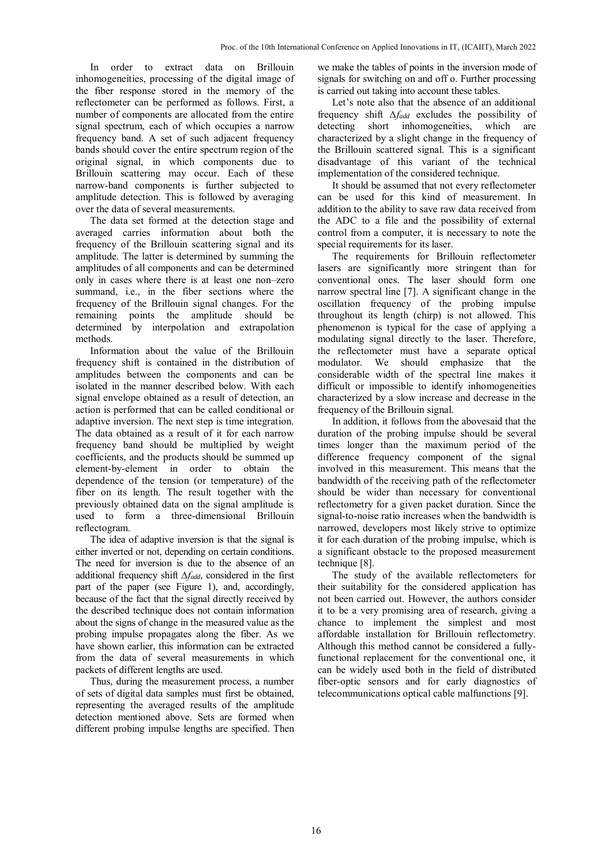In order to extract data on Brillouin inhomogeneities, processing of the digital image of the fiber response stored in the memory of the reflectometer can be performed as follows. First, a number of components are allocated from the entire signal spectrum, each of which occupies a narrow frequency band. A set of such adjacent frequency bands should cover the entire spectrum region of the original signal, in which components due to Brillouin scattering may occur. Each of these narrow-band components is further subjected to amplitude detection. This is followed by averaging over the data of several measurements.

The data set formed at the detection stage and averaged carries information about both the frequency of the Brillouin scattering signal and its amplitude. The latter is determined by summing the amplitudes of all components and can be determined only in cases where there is at least one non–zero summand, i.e., in the fiber sections where the frequency of the Brillouin signal changes. For the remaining points the amplitude should be determined by interpolation and extrapolation methods.

Information about the value of the Brillouin frequency shift is contained in the distribution of amplitudes between the components and can be isolated in the manner described below. With each signal envelope obtained as a result of detection, an action is performed that can be called conditional or adaptive inversion. The next step is time integration. The data obtained as a result of it for each narrow frequency band should be multiplied by weight coefficients, and the products should be summed up element-by-element in order to obtain the dependence of the tension (or temperature) of the fiber on its length. The result together with the previously obtained data on the signal amplitude is used to form a three-dimensional Brillouin reflectogram.

The idea of adaptive inversion is that the signal is either inverted or not, depending on certain conditions. The need for inversion is due to the absence of an additional frequency shift *∆fadd*, considered in the first part of the paper (see Figure 1), and, accordingly, because of the fact that the signal directly received by the described technique does not contain information about the signs of change in the measured value as the probing impulse propagates along the fiber. As we have shown earlier, this information can be extracted from the data of several measurements in which packets of different lengths are used.

Thus, during the measurement process, a number of sets of digital data samples must first be obtained, representing the averaged results of the amplitude detection mentioned above. Sets are formed when different probing impulse lengths are specified. Then we make the tables of points in the inversion mode of signals for switching on and off o. Further processing is carried out taking into account these tables.

Let's note also that the absence of an additional frequency shift *∆fadd* excludes the possibility of detecting short inhomogeneities, which are characterized by a slight change in the frequency of the Brillouin scattered signal. This is a significant disadvantage of this variant of the technical implementation of the considered technique.

It should be assumed that not every reflectometer can be used for this kind of measurement. In addition to the ability to save raw data received from the ADC to a file and the possibility of external control from a computer, it is necessary to note the special requirements for its laser.

The requirements for Brillouin reflectometer lasers are significantly more stringent than for conventional ones. The laser should form one narrow spectral line [7]. A significant change in the oscillation frequency of the probing impulse throughout its length (chirp) is not allowed. This phenomenon is typical for the case of applying a modulating signal directly to the laser. Therefore, the reflectometer must have a separate optical modulator. We should emphasize that the considerable width of the spectral line makes it difficult or impossible to identify inhomogeneities characterized by a slow increase and decrease in the frequency of the Brillouin signal.

In addition, it follows from the abovesaid that the duration of the probing impulse should be several times longer than the maximum period of the difference frequency component of the signal involved in this measurement. This means that the bandwidth of the receiving path of the reflectometer should be wider than necessary for conventional reflectometry for a given packet duration. Since the signal-to-noise ratio increases when the bandwidth is narrowed, developers most likely strive to optimize it for each duration of the probing impulse, which is a significant obstacle to the proposed measurement technique [8].

The study of the available reflectometers for their suitability for the considered application has not been carried out. However, the authors consider it to be a very promising area of research, giving a chance to implement the simplest and most affordable installation for Brillouin reflectometry. Although this method cannot be considered a fullyfunctional replacement for the conventional one, it can be widely used both in the field of distributed fiber-optic sensors and for early diagnostics of telecommunications optical cable malfunctions [9].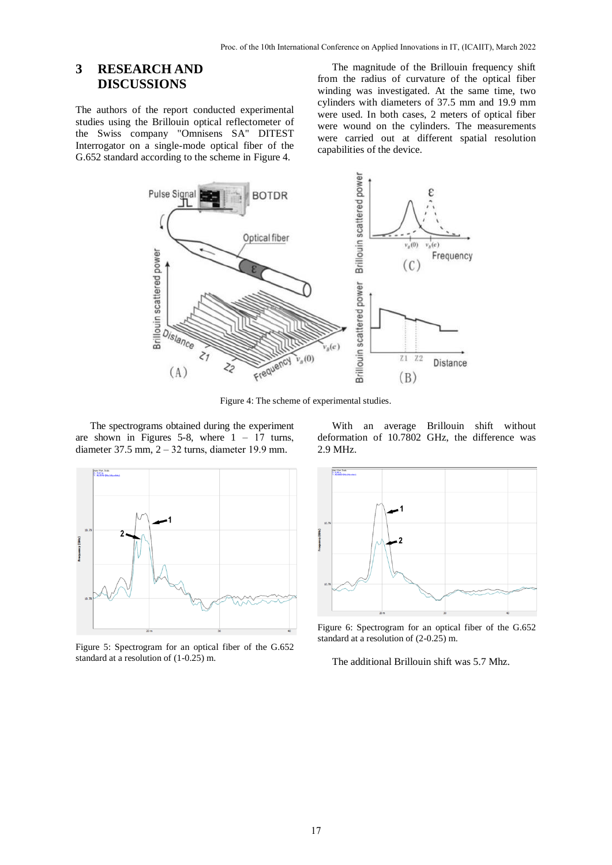## **3 RESEARCH AND DISCUSSIONS**

The authors of the report conducted experimental studies using the Brillouin optical reflectometer of the Swiss company "Omnisens SA" DITEST Interrogator on a single-mode optical fiber of the G.652 standard according to the scheme in Figure 4.

The magnitude of the Brillouin frequency shift from the radius of curvature of the optical fiber winding was investigated. At the same time, two cylinders with diameters of 37.5 mm and 19.9 mm were used. In both cases, 2 meters of optical fiber were wound on the cylinders. The measurements were carried out at different spatial resolution capabilities of the device.



Figure 4: The scheme of experimental studies.

The spectrograms obtained during the experiment are shown in Figures 5-8, where  $1 - 17$  turns, diameter 37.5 mm, 2 ‒ 32 turns, diameter 19.9 mm.





Figure 5: Spectrogram for an optical fiber of the G.652 standard at a resolution of (1-0.25) m.



Figure 6: Spectrogram for an optical fiber of the G.652 standard at a resolution of (2-0.25) m.

The additional Brillouin shift was 5.7 Mhz.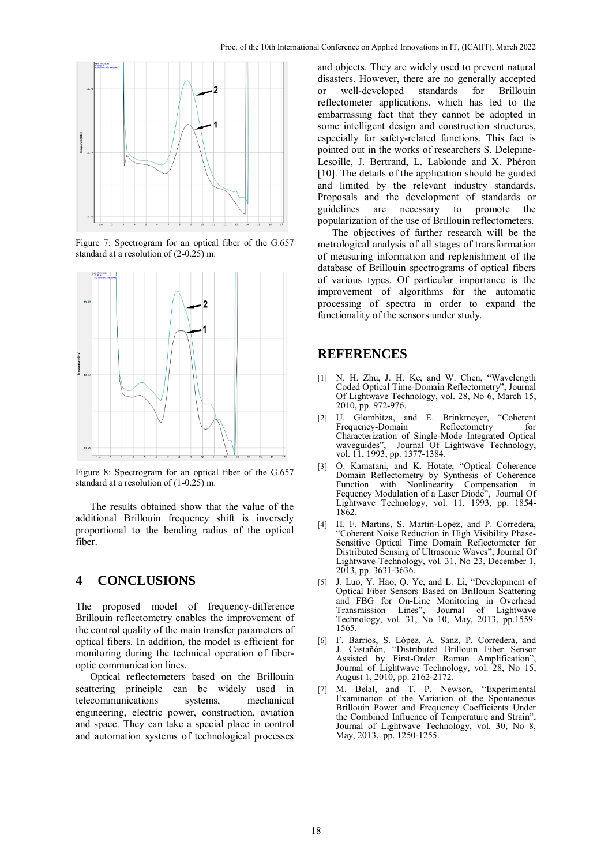

Figure 7: Spectrogram for an optical fiber of the G.657 standard at a resolution of (2-0.25) m.



Figure 8: Spectrogram for an optical fiber of the G.657 standard at a resolution of (1-0.25) m.

The results obtained show that the value of the additional Brillouin frequency shift is inversely proportional to the bending radius of the optical fiber.

#### **4 CONCLUSIONS**

The proposed model of frequency-difference Brillouin reflectometry enables the improvement of the control quality of the main transfer parameters of optical fibers. In addition, the model is efficient for monitoring during the technical operation of fiberoptic communication lines.

Optical reflectometers based on the Brillouin scattering principle can be widely used in telecommunications systems, mechanical engineering, electric power, construction, aviation and space. They can take a special place in control and automation systems of technological processes and objects. They are widely used to prevent natural disasters. However, there are no generally accepted or well-developed standards for Brillouin reflectometer applications, which has led to the embarrassing fact that they cannot be adopted in some intelligent design and construction structures, especially for safety-related functions. This fact is pointed out in the works of researchers S. Delepine-Lesoille, J. Bertrand, L. Lablonde and X. Phéron [10]. The details of the application should be guided and limited by the relevant industry standards. Proposals and the development of standards or guidelines are necessary to promote the popularization of the use of Brillouin reflectometers.

The objectives of further research will be the metrological analysis of all stages of transformation of measuring information and replenishment of the database of Brillouin spectrograms of optical fibers of various types. Of particular importance is the improvement of algorithms for the automatic processing of spectra in order to expand the functionality of the sensors under study.

#### **REFERENCES**

- [1] N. H. Zhu, J. H. Ke, and W. Chen, "Wavelength Coded Optical Time-Domain Reflectometry", Journal Of Lightwave Technology, vol. 28, No 6, March 15, 2010, pp. 972-976.
- [2] U. Glombitza, and E. Brinkmeyer, "Coherent Frequency-Domain Reflectometry for Characterization of Single-Mode Integrated Optical waveguides", Journal Of Lightwave Technology, vol. 11, 1993, pp. 1377-1384.
- [3] O. Kamatani, and K. Hotate, "Optical Coherence Domain Reflectometry by Synthesis of Coherence with Nonlinearity Compensation in Fequency Modulation of a Laser Diode", Journal Of Lightwave Technology, vol. 11, 1993, pp. 1854- 1862.
- [4] H. F. Martins, S. Martin-Lopez, and P. Corredera, "Coherent Noise Reduction in High Visibility Phase-Sensitive Optical Time Domain Reflectometer for Distributed Sensing of Ultrasonic Waves", Journal Of Lightwave Technology, vol. 31, No 23, December 1, 2013, pp. 3631-3636.
- [5] J. Luo, Y. Hao, Q. Ye, and L. Li, "Development of Optical Fiber Sensors Based on Brillouin Scattering and FBG for On-Line Monitoring in Overhead Transmission Lines", Journal of Lightwave Technology, vol. 31, No 10, May, 2013, pp.1559- 1565.
- [6] F. Barrios, S. López, A. Sanz, P. Corredera, and J. Castañón, "Distributed Brillouin Fiber Sensor Assisted by First-Order Raman Amplification", Journal of Lightwave Technology, vol. 28, No 15, August 1, 2010, pp. 2162-2172.
- [7] M. Belal, and T. P. Newson, "Experimental Examination of the Variation of the Spontaneous Brillouin Power and Frequency Coefficients Under the Combined Influence of Temperature and Strain", Journal of Lightwave Technology, vol. 30, No 8, May, 2013, pp. 1250-1255.